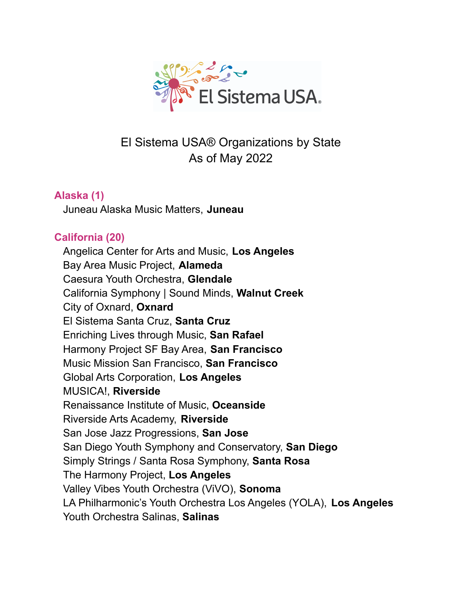

# El Sistema USA® Organizations by State As of May 2022

# **Alaska (1)**

Juneau Alaska Music Matters, **Juneau**

# **California (20)**

Angelica Center for Arts and Music, **Los Angeles** Bay Area Music Project, **Alameda** Caesura Youth Orchestra, **Glendale** California Symphony | Sound Minds, **Walnut Creek** City of Oxnard, **Oxnard** El Sistema Santa Cruz, **Santa Cruz** Enriching Lives through Music, **San Rafael** Harmony Project SF Bay Area, **San Francisco** Music Mission San Francisco, **San Francisco** Global Arts Corporation, **Los Angeles** MUSICA!, **Riverside** Renaissance Institute of Music, **Oceanside** Riverside Arts Academy, **Riverside** San Jose Jazz Progressions, **San Jose** San Diego Youth Symphony and Conservatory, **San Diego** Simply Strings / Santa Rosa Symphony, **Santa Rosa** The Harmony Project, **Los Angeles** Valley Vibes Youth Orchestra (ViVO), **Sonoma** LA Philharmonic's Youth Orchestra Los Angeles (YOLA), **Los Angeles** Youth Orchestra Salinas, **Salinas**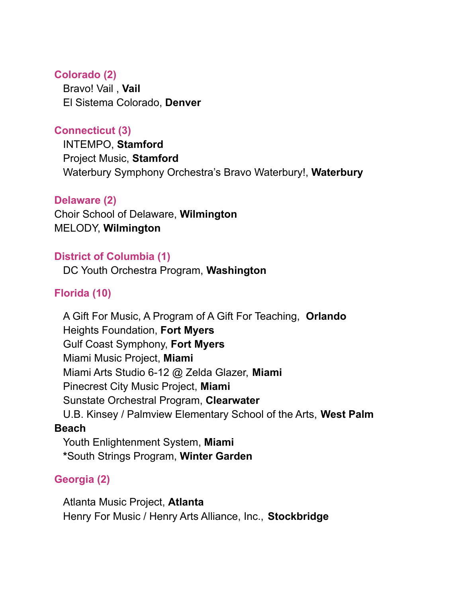### **Colorado (2)**

Bravo! Vail , **Vail** El Sistema Colorado, **Denver**

# **Connecticut (3)**

INTEMPO, **Stamford** Project Music, **Stamford** Waterbury Symphony Orchestra's Bravo Waterbury!, **Waterbury**

### **Delaware (2)**

Choir School of Delaware, **Wilmington** MELODY, **Wilmington**

### **District of Columbia (1)**

DC Youth Orchestra Program, **Washington**

## **Florida (10)**

A Gift For Music, A Program of A Gift For Teaching, **Orlando** Heights Foundation, **Fort Myers** Gulf Coast Symphony, **Fort Myers** Miami Music Project, **Miami** Miami Arts Studio 6-12 @ Zelda Glazer, **Miami** Pinecrest City Music Project, **Miami** Sunstate Orchestral Program, **Clearwater** U.B. Kinsey / Palmview Elementary School of the Arts, **West Palm Beach** Youth Enlightenment System, **Miami \***South Strings Program, **Winter Garden**

### **Georgia (2)**

Atlanta Music Project, **Atlanta** Henry For Music / Henry Arts Alliance, Inc., **Stockbridge**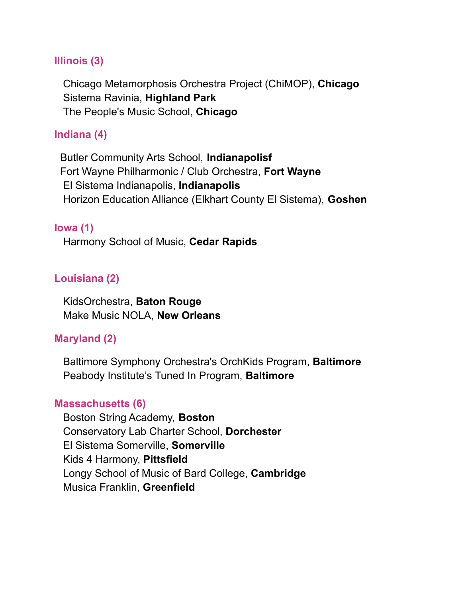### **Illinois (3)**

Chicago Metamorphosis Orchestra Project (ChiMOP), **Chicago** Sistema Ravinia, **Highland Park** The People's Music School, **Chicago**

### **Indiana (4)**

Butler Community Arts School, **Indianapolisf** Fort Wayne Philharmonic / Club Orchestra, **Fort Wayne** El Sistema Indianapolis, **Indianapolis** Horizon Education Alliance (Elkhart County El Sistema), **Goshen**

#### **Iowa (1)**

Harmony School of Music, **Cedar Rapids**

### **Louisiana (2)**

KidsOrchestra, **Baton Rouge** Make Music NOLA, **New Orleans**

### **Maryland (2)**

Baltimore Symphony Orchestra's OrchKids Program, **Baltimore** Peabody Institute's Tuned In Program, **Baltimore**

#### **Massachusetts (6)**

Boston String Academy, **Boston** Conservatory Lab Charter School, **Dorchester** El Sistema Somerville, **Somerville** Kids 4 Harmony, **Pittsfield** Longy School of Music of Bard College, **Cambridge** Musica Franklin, **Greenfield**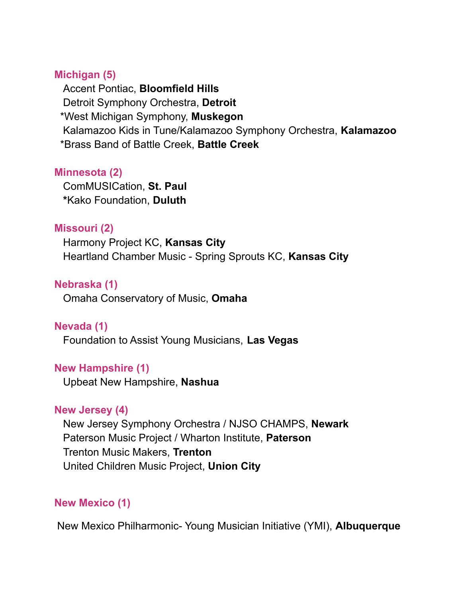#### **Michigan (5)**

Accent Pontiac, **Bloomfield Hills** Detroit Symphony Orchestra, **Detroit** \*West Michigan Symphony, **Muskegon** Kalamazoo Kids in Tune/Kalamazoo Symphony Orchestra, **Kalamazoo** \*Brass Band of Battle Creek, **Battle Creek**

### **Minnesota (2)**

ComMUSICation, **St. Paul \***Kako Foundation, **Duluth**

#### **Missouri (2)**

Harmony Project KC, **Kansas City** Heartland Chamber Music - Spring Sprouts KC, **Kansas City**

### **Nebraska (1)**

Omaha Conservatory of Music, **Omaha**

### **Nevada (1)**

Foundation to Assist Young Musicians, **Las Vegas**

### **New Hampshire (1)**

Upbeat New Hampshire, **Nashua**

### **New Jersey (4)**

New Jersey Symphony Orchestra / NJSO CHAMPS, **Newark** Paterson Music Project / Wharton Institute, **Paterson** Trenton Music Makers, **Trenton** United Children Music Project, **Union City**

### **New Mexico (1)**

New Mexico Philharmonic- Young Musician Initiative (YMI), **Albuquerque**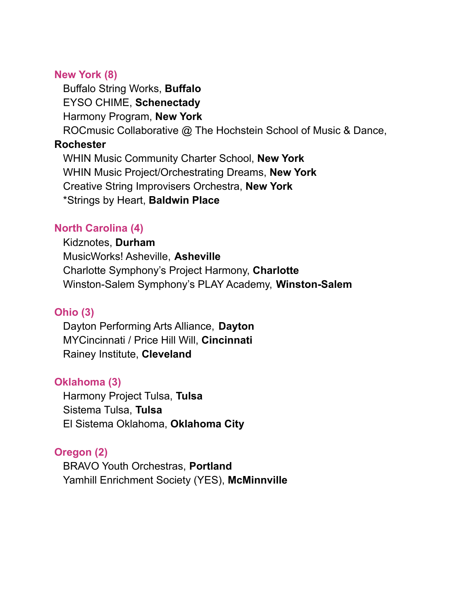### **New York (8)**

Buffalo String Works, **Buffalo** EYSO CHIME, **Schenectady**

Harmony Program, **New York**

ROCmusic Collaborative @ The Hochstein School of Music & Dance,

### **Rochester**

WHIN Music Community Charter School, **New York** WHIN Music Project/Orchestrating Dreams, **New York** Creative String Improvisers Orchestra, **New York** \*Strings by Heart, **Baldwin Place**

### **North Carolina (4)**

Kidznotes, **Durham** MusicWorks! Asheville, **Asheville** Charlotte Symphony's Project Harmony, **Charlotte** Winston-Salem Symphony's PLAY Academy, **Winston-Salem**

### **Ohio (3)**

Dayton Performing Arts Alliance, **Dayton** MYCincinnati / Price Hill Will, **Cincinnati** Rainey Institute, **Cleveland**

### **Oklahoma (3)**

Harmony Project Tulsa, **Tulsa** Sistema Tulsa, **Tulsa** El Sistema Oklahoma, **Oklahoma City**

### **Oregon (2)**

BRAVO Youth Orchestras, **Portland** Yamhill Enrichment Society (YES), **McMinnville**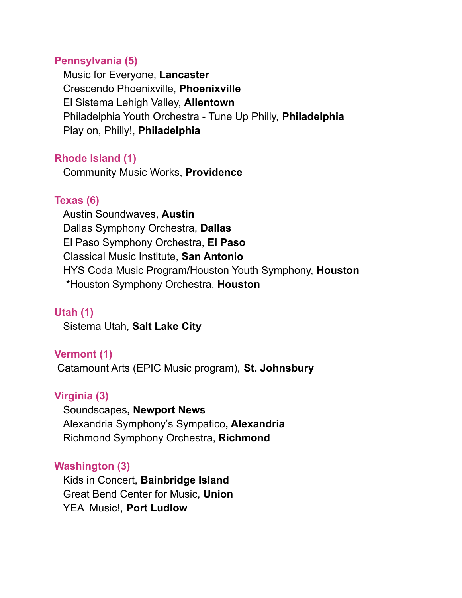### **Pennsylvania (5)**

Music for Everyone, **Lancaster** Crescendo Phoenixville, **Phoenixville** El Sistema Lehigh Valley, **Allentown** Philadelphia Youth Orchestra - Tune Up Philly, **Philadelphia** Play on, Philly!, **Philadelphia**

### **Rhode Island (1)**

Community Music Works, **Providence**

### **Texas (6)**

Austin Soundwaves, **Austin** Dallas Symphony Orchestra, **Dallas** El Paso Symphony Orchestra, **El Paso** Classical Music Institute, **San Antonio** HYS Coda Music Program/Houston Youth Symphony, **Houston** \*Houston Symphony Orchestra, **Houston**

### **Utah (1)**

Sistema Utah, **Salt Lake City**

### **Vermont (1)**

Catamount Arts (EPIC Music program), **St. Johnsbury**

### **Virginia (3)**

Soundscapes**, Newport News** Alexandria Symphony's Sympatico**, Alexandria** Richmond Symphony Orchestra, **Richmond**

### **Washington (3)**

Kids in Concert, **Bainbridge Island** Great Bend Center for Music, **Union** YEA Music!, **Port Ludlow**